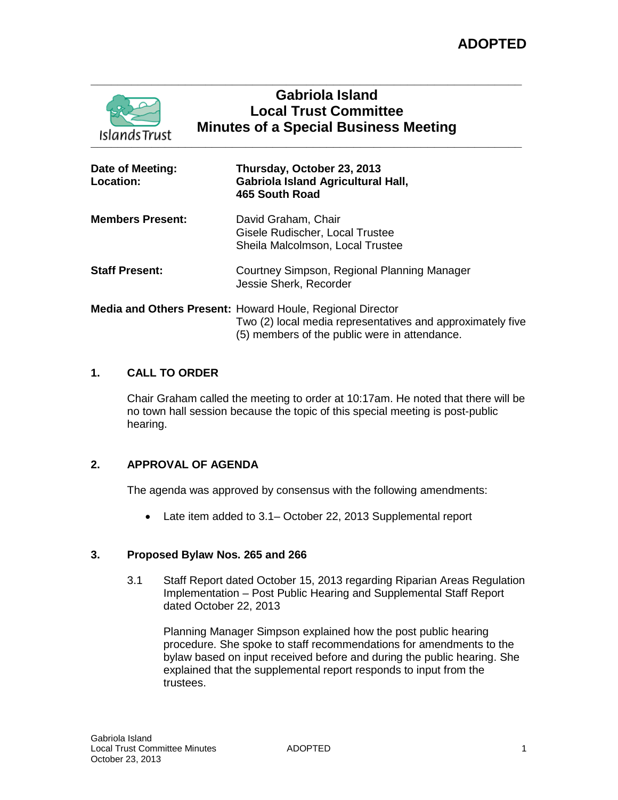

# **Gabriola Island Local Trust Committee Minutes of a Special Business Meeting**

| Date of Meeting:<br><b>Location:</b> | Thursday, October 23, 2013<br>Gabriola Island Agricultural Hall,<br>465 South Road                                                                                       |
|--------------------------------------|--------------------------------------------------------------------------------------------------------------------------------------------------------------------------|
| <b>Members Present:</b>              | David Graham, Chair<br>Gisele Rudischer, Local Trustee<br>Sheila Malcolmson, Local Trustee                                                                               |
| <b>Staff Present:</b>                | Courtney Simpson, Regional Planning Manager<br>Jessie Sherk, Recorder                                                                                                    |
|                                      | Media and Others Present: Howard Houle, Regional Director<br>Two (2) local media representatives and approximately five<br>(5) members of the public were in attendance. |

# **1. CALL TO ORDER**

Chair Graham called the meeting to order at 10:17am. He noted that there will be no town hall session because the topic of this special meeting is post-public hearing.

# **2. APPROVAL OF AGENDA**

The agenda was approved by consensus with the following amendments:

• Late item added to 3.1– October 22, 2013 Supplemental report

# **3. Proposed Bylaw Nos. 265 and 266**

3.1 Staff Report dated October 15, 2013 regarding Riparian Areas Regulation Implementation – Post Public Hearing and Supplemental Staff Report dated October 22, 2013

Planning Manager Simpson explained how the post public hearing procedure. She spoke to staff recommendations for amendments to the bylaw based on input received before and during the public hearing. She explained that the supplemental report responds to input from the trustees.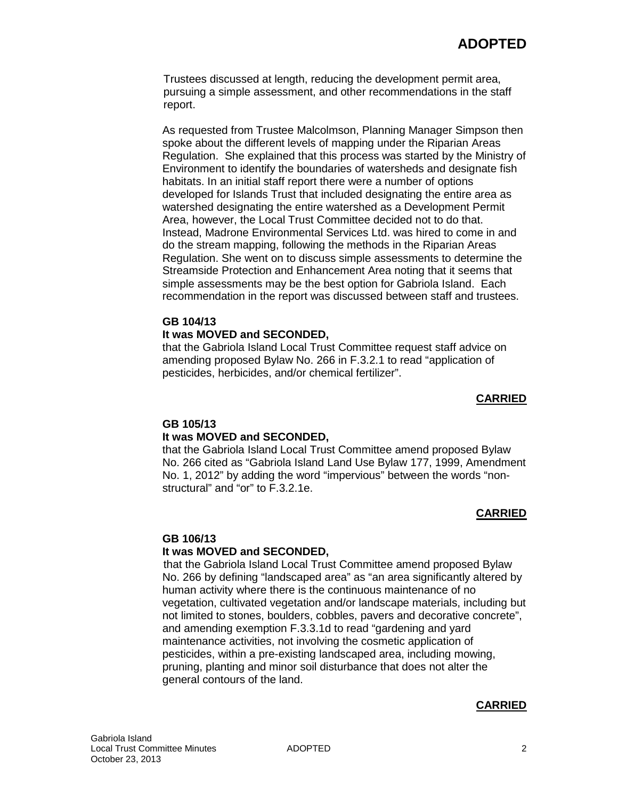Trustees discussed at length, reducing the development permit area, pursuing a simple assessment, and other recommendations in the staff report.

As requested from Trustee Malcolmson, Planning Manager Simpson then spoke about the different levels of mapping under the Riparian Areas Regulation. She explained that this process was started by the Ministry of Environment to identify the boundaries of watersheds and designate fish habitats. In an initial staff report there were a number of options developed for Islands Trust that included designating the entire area as watershed designating the entire watershed as a Development Permit Area, however, the Local Trust Committee decided not to do that. Instead, Madrone Environmental Services Ltd. was hired to come in and do the stream mapping, following the methods in the Riparian Areas Regulation. She went on to discuss simple assessments to determine the Streamside Protection and Enhancement Area noting that it seems that simple assessments may be the best option for Gabriola Island. Each recommendation in the report was discussed between staff and trustees.

#### **GB 104/13 It was MOVED and SECONDED,**

that the Gabriola Island Local Trust Committee request staff advice on amending proposed Bylaw No. 266 in F.3.2.1 to read "application of pesticides, herbicides, and/or chemical fertilizer".

### **CARRIED**

# **GB 105/13**

# **It was MOVED and SECONDED,**

that the Gabriola Island Local Trust Committee amend proposed Bylaw No. 266 cited as "Gabriola Island Land Use Bylaw 177, 1999, Amendment No. 1, 2012" by adding the word "impervious" between the words "nonstructural" and "or" to F.3.2.1e.

# **CARRIED**

#### **GB 106/13**

#### **It was MOVED and SECONDED,**

that the Gabriola Island Local Trust Committee amend proposed Bylaw No. 266 by defining "landscaped area" as "an area significantly altered by human activity where there is the continuous maintenance of no vegetation, cultivated vegetation and/or landscape materials, including but not limited to stones, boulders, cobbles, pavers and decorative concrete", and amending exemption F.3.3.1d to read "gardening and yard maintenance activities, not involving the cosmetic application of pesticides, within a pre-existing landscaped area, including mowing, pruning, planting and minor soil disturbance that does not alter the general contours of the land.

# **CARRIED**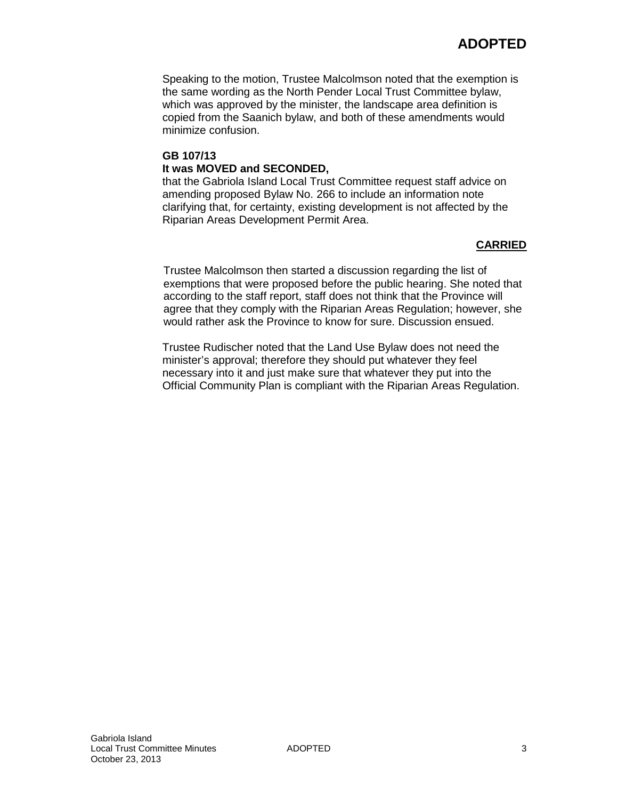Speaking to the motion, Trustee Malcolmson noted that the exemption is the same wording as the North Pender Local Trust Committee bylaw, which was approved by the minister, the landscape area definition is copied from the Saanich bylaw, and both of these amendments would minimize confusion.

# **GB 107/13 It was MOVED and SECONDED,**

that the Gabriola Island Local Trust Committee request staff advice on amending proposed Bylaw No. 266 to include an information note clarifying that, for certainty, existing development is not affected by the Riparian Areas Development Permit Area.

# **CARRIED**

Trustee Malcolmson then started a discussion regarding the list of exemptions that were proposed before the public hearing. She noted that according to the staff report, staff does not think that the Province will agree that they comply with the Riparian Areas Regulation; however, she would rather ask the Province to know for sure. Discussion ensued.

Trustee Rudischer noted that the Land Use Bylaw does not need the minister's approval; therefore they should put whatever they feel necessary into it and just make sure that whatever they put into the Official Community Plan is compliant with the Riparian Areas Regulation.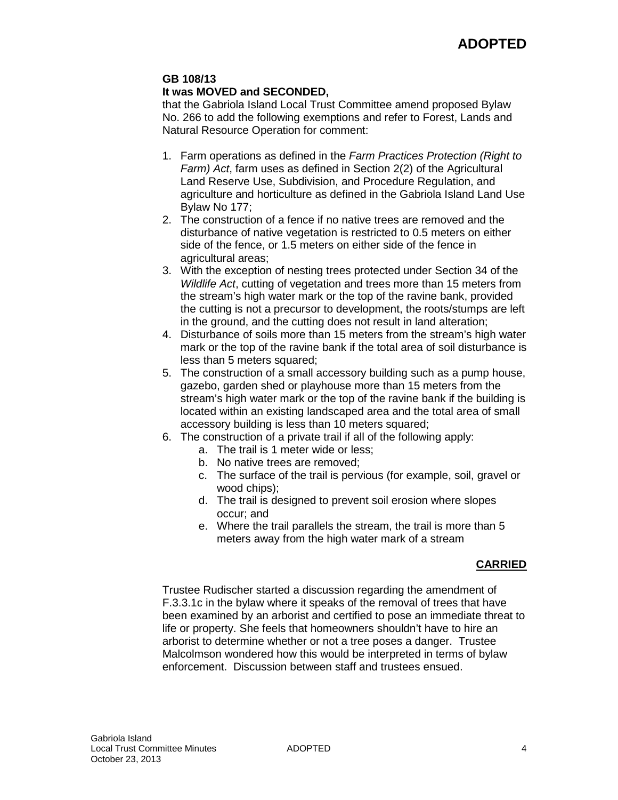# **GB 108/13**

### **It was MOVED and SECONDED,**

that the Gabriola Island Local Trust Committee amend proposed Bylaw No. 266 to add the following exemptions and refer to Forest, Lands and Natural Resource Operation for comment:

- 1. Farm operations as defined in the *Farm Practices Protection (Right to Farm) Act*, farm uses as defined in Section 2(2) of the Agricultural Land Reserve Use, Subdivision, and Procedure Regulation, and agriculture and horticulture as defined in the Gabriola Island Land Use Bylaw No 177;
- 2. The construction of a fence if no native trees are removed and the disturbance of native vegetation is restricted to 0.5 meters on either side of the fence, or 1.5 meters on either side of the fence in agricultural areas;
- 3. With the exception of nesting trees protected under Section 34 of the *Wildlife Act*, cutting of vegetation and trees more than 15 meters from the stream's high water mark or the top of the ravine bank, provided the cutting is not a precursor to development, the roots/stumps are left in the ground, and the cutting does not result in land alteration;
- 4. Disturbance of soils more than 15 meters from the stream's high water mark or the top of the ravine bank if the total area of soil disturbance is less than 5 meters squared;
- 5. The construction of a small accessory building such as a pump house, gazebo, garden shed or playhouse more than 15 meters from the stream's high water mark or the top of the ravine bank if the building is located within an existing landscaped area and the total area of small accessory building is less than 10 meters squared;
- 6. The construction of a private trail if all of the following apply:
	- a. The trail is 1 meter wide or less;
	- b. No native trees are removed;
	- c. The surface of the trail is pervious (for example, soil, gravel or wood chips);
	- d. The trail is designed to prevent soil erosion where slopes occur; and
	- e. Where the trail parallels the stream, the trail is more than 5 meters away from the high water mark of a stream

# **CARRIED**

Trustee Rudischer started a discussion regarding the amendment of F.3.3.1c in the bylaw where it speaks of the removal of trees that have been examined by an arborist and certified to pose an immediate threat to life or property. She feels that homeowners shouldn't have to hire an arborist to determine whether or not a tree poses a danger. Trustee Malcolmson wondered how this would be interpreted in terms of bylaw enforcement. Discussion between staff and trustees ensued.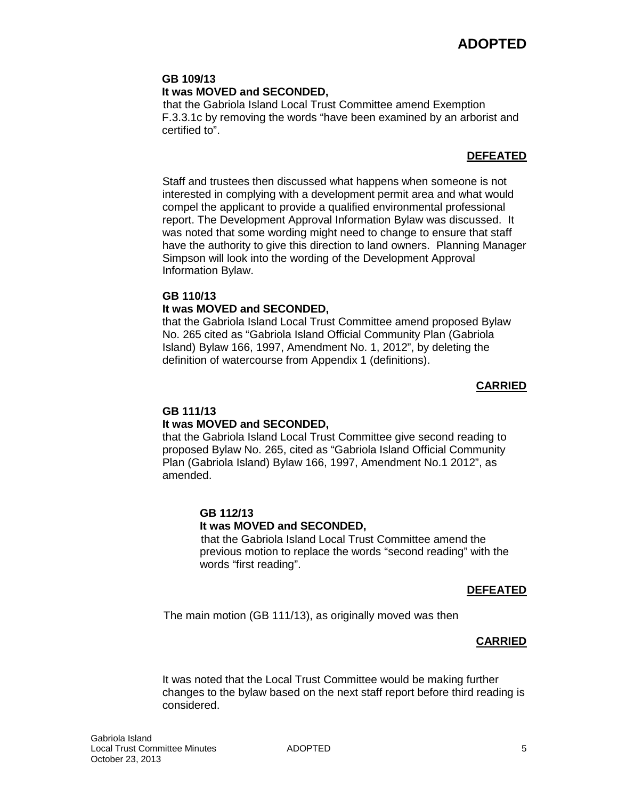# **GB 109/13**

### **It was MOVED and SECONDED,**

that the Gabriola Island Local Trust Committee amend Exemption F.3.3.1c by removing the words "have been examined by an arborist and certified to".

# **DEFEATED**

Staff and trustees then discussed what happens when someone is not interested in complying with a development permit area and what would compel the applicant to provide a qualified environmental professional report. The Development Approval Information Bylaw was discussed. It was noted that some wording might need to change to ensure that staff have the authority to give this direction to land owners. Planning Manager Simpson will look into the wording of the Development Approval Information Bylaw.

### **GB 110/13**

### **It was MOVED and SECONDED,**

that the Gabriola Island Local Trust Committee amend proposed Bylaw No. 265 cited as "Gabriola Island Official Community Plan (Gabriola Island) Bylaw 166, 1997, Amendment No. 1, 2012", by deleting the definition of watercourse from Appendix 1 (definitions).

### **CARRIED**

# **GB 111/13**

# **It was MOVED and SECONDED,**

that the Gabriola Island Local Trust Committee give second reading to proposed Bylaw No. 265, cited as "Gabriola Island Official Community Plan (Gabriola Island) Bylaw 166, 1997, Amendment No.1 2012", as amended.

# **GB 112/13**

#### **It was MOVED and SECONDED,**

that the Gabriola Island Local Trust Committee amend the previous motion to replace the words "second reading" with the words "first reading".

#### **DEFEATED**

The main motion (GB 111/13), as originally moved was then

# **CARRIED**

It was noted that the Local Trust Committee would be making further changes to the bylaw based on the next staff report before third reading is considered.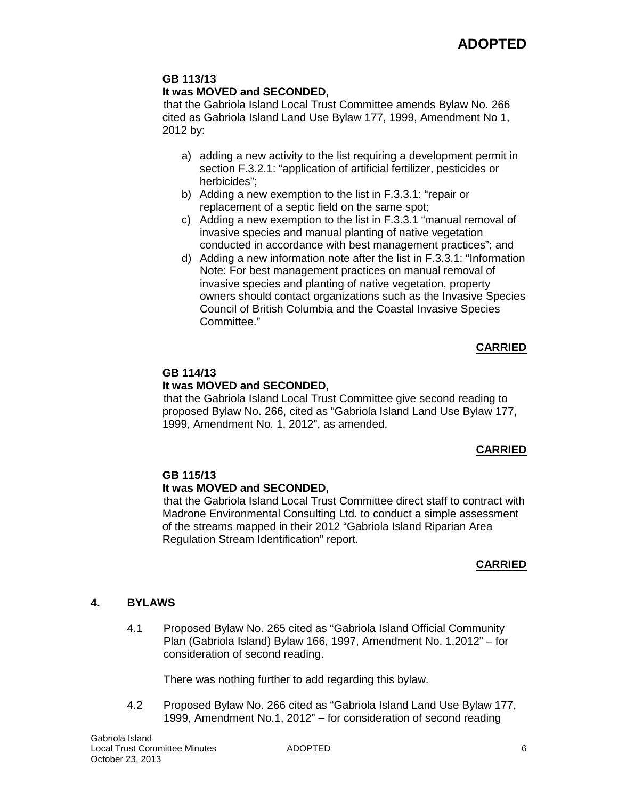#### **GB 113/13 It was MOVED and SECONDED,**

that the Gabriola Island Local Trust Committee amends Bylaw No. 266 cited as Gabriola Island Land Use Bylaw 177, 1999, Amendment No 1, 2012 by:

- a) adding a new activity to the list requiring a development permit in section F.3.2.1: "application of artificial fertilizer, pesticides or herbicides";
- b) Adding a new exemption to the list in F.3.3.1: "repair or replacement of a septic field on the same spot;
- c) Adding a new exemption to the list in F.3.3.1 "manual removal of invasive species and manual planting of native vegetation conducted in accordance with best management practices"; and
- d) Adding a new information note after the list in F.3.3.1: "Information Note: For best management practices on manual removal of invasive species and planting of native vegetation, property owners should contact organizations such as the Invasive Species Council of British Columbia and the Coastal Invasive Species Committee."

# **CARRIED**

# **GB 114/13**

# **It was MOVED and SECONDED,**

that the Gabriola Island Local Trust Committee give second reading to proposed Bylaw No. 266, cited as "Gabriola Island Land Use Bylaw 177, 1999, Amendment No. 1, 2012", as amended.

# **CARRIED**

# **GB 115/13**

# **It was MOVED and SECONDED,**

that the Gabriola Island Local Trust Committee direct staff to contract with Madrone Environmental Consulting Ltd. to conduct a simple assessment of the streams mapped in their 2012 "Gabriola Island Riparian Area Regulation Stream Identification" report.

# **CARRIED**

# **4. BYLAWS**

4.1 Proposed Bylaw No. 265 cited as "Gabriola Island Official Community Plan (Gabriola Island) Bylaw 166, 1997, Amendment No. 1,2012" – for consideration of second reading.

There was nothing further to add regarding this bylaw.

4.2 Proposed Bylaw No. 266 cited as "Gabriola Island Land Use Bylaw 177, 1999, Amendment No.1, 2012" – for consideration of second reading